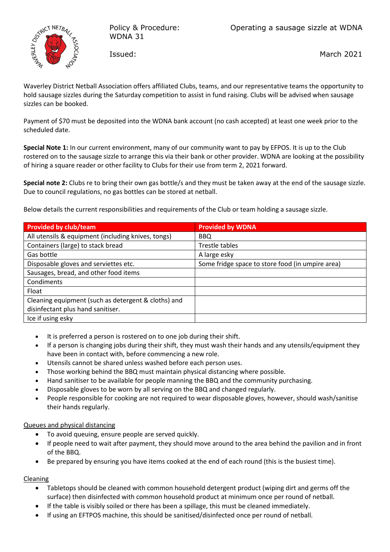

Policy & Procedure: WDNA 31

Issued:

March 2021

Waverley District Netball Association offers affiliated Clubs, teams, and our representative teams the opportunity to hold sausage sizzles during the Saturday competition to assist in fund raising. Clubs will be advised when sausage sizzles can be booked.

Payment of \$70 must be deposited into the WDNA bank account (no cash accepted) at least one week prior to the scheduled date.

**Special Note 1:** In our current environment, many of our community want to pay by EFPOS. It is up to the Club rostered on to the sausage sizzle to arrange this via their bank or other provider. WDNA are looking at the possibility of hiring a square reader or other facility to Clubs for their use from term 2, 2021 forward.

**Special note 2:** Clubs re to bring their own gas bottle/s and they must be taken away at the end of the sausage sizzle. Due to council regulations, no gas bottles can be stored at netball.

Below details the current responsibilities and requirements of the Club or team holding a sausage sizzle.

| <b>Provided by club/team</b>                        | <b>Provided by WDNA</b>                          |
|-----------------------------------------------------|--------------------------------------------------|
| All utensils & equipment (including knives, tongs)  | BBQ                                              |
| Containers (large) to stack bread                   | Trestle tables                                   |
| Gas bottle                                          | A large esky                                     |
| Disposable gloves and serviettes etc.               | Some fridge space to store food (in umpire area) |
| Sausages, bread, and other food items               |                                                  |
| Condiments                                          |                                                  |
| Float                                               |                                                  |
| Cleaning equipment (such as detergent & cloths) and |                                                  |
| disinfectant plus hand sanitiser.                   |                                                  |
| Ice if using esky                                   |                                                  |

- It is preferred a person is rostered on to one job during their shift.
- If a person is changing jobs during their shift, they must wash their hands and any utensils/equipment they have been in contact with, before commencing a new role.
- Utensils cannot be shared unless washed before each person uses.
- Those working behind the BBQ must maintain physical distancing where possible.
- Hand sanitiser to be available for people manning the BBQ and the community purchasing.
- Disposable gloves to be worn by all serving on the BBQ and changed regularly.
- People responsible for cooking are not required to wear disposable gloves, however, should wash/sanitise their hands regularly.

#### Queues and physical distancing

- To avoid queuing, ensure people are served quickly.
- If people need to wait after payment, they should move around to the area behind the pavilion and in front of the BBQ.
- Be prepared by ensuring you have items cooked at the end of each round (this is the busiest time).

#### Cleaning

- Tabletops should be cleaned with common household detergent product (wiping dirt and germs off the surface) then disinfected with common household product at minimum once per round of netball.
- If the table is visibly soiled or there has been a spillage, this must be cleaned immediately.
- If using an EFTPOS machine, this should be sanitised/disinfected once per round of netball.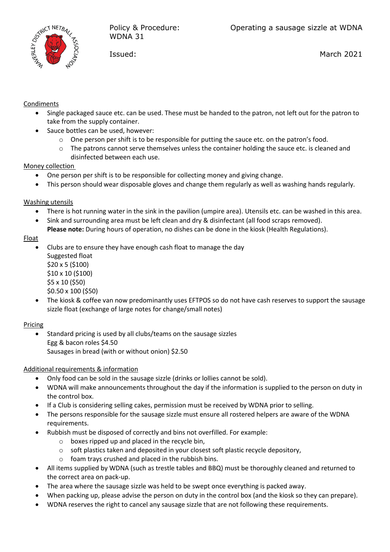

Issued:

March 2021

#### **Condiments**

- Single packaged sauce etc. can be used. These must be handed to the patron, not left out for the patron to take from the supply container.
- Sauce bottles can be used, however:
	- $\circ$  One person per shift is to be responsible for putting the sauce etc. on the patron's food.
	- $\circ$  The patrons cannot serve themselves unless the container holding the sauce etc. is cleaned and disinfected between each use.

## Money collection

- One person per shift is to be responsible for collecting money and giving change.
- This person should wear disposable gloves and change them regularly as well as washing hands regularly.

## Washing utensils

- There is hot running water in the sink in the pavilion (umpire area). Utensils etc. can be washed in this area.
- Sink and surrounding area must be left clean and dry & disinfectant (all food scraps removed).
- **Please note:** During hours of operation, no dishes can be done in the kiosk (Health Regulations).

## Float

- Clubs are to ensure they have enough cash float to manage the day
	- Suggested float \$20 x 5 (\$100) \$10 x 10 (\$100) \$5 x 10 (\$50)
	- \$0.50 x 100 (\$50)
- The kiosk & coffee van now predominantly uses EFTPOS so do not have cash reserves to support the sausage sizzle float (exchange of large notes for change/small notes)

# Pricing

• Standard pricing is used by all clubs/teams on the sausage sizzles Egg & bacon roles \$4.50 Sausages in bread (with or without onion) \$2.50

# Additional requirements & information

- Only food can be sold in the sausage sizzle (drinks or lollies cannot be sold).
- WDNA will make announcements throughout the day if the information is supplied to the person on duty in the control box.
- If a Club is considering selling cakes, permission must be received by WDNA prior to selling.
- The persons responsible for the sausage sizzle must ensure all rostered helpers are aware of the WDNA requirements.
- Rubbish must be disposed of correctly and bins not overfilled. For example:
	- $\circ$  boxes ripped up and placed in the recycle bin,
	- $\circ$  soft plastics taken and deposited in your closest soft plastic recycle depository,
	- o foam trays crushed and placed in the rubbish bins.
- All items supplied by WDNA (such as trestle tables and BBQ) must be thoroughly cleaned and returned to the correct area on pack-up.
- The area where the sausage sizzle was held to be swept once everything is packed away.
- When packing up, please advise the person on duty in the control box (and the kiosk so they can prepare).
- WDNA reserves the right to cancel any sausage sizzle that are not following these requirements.